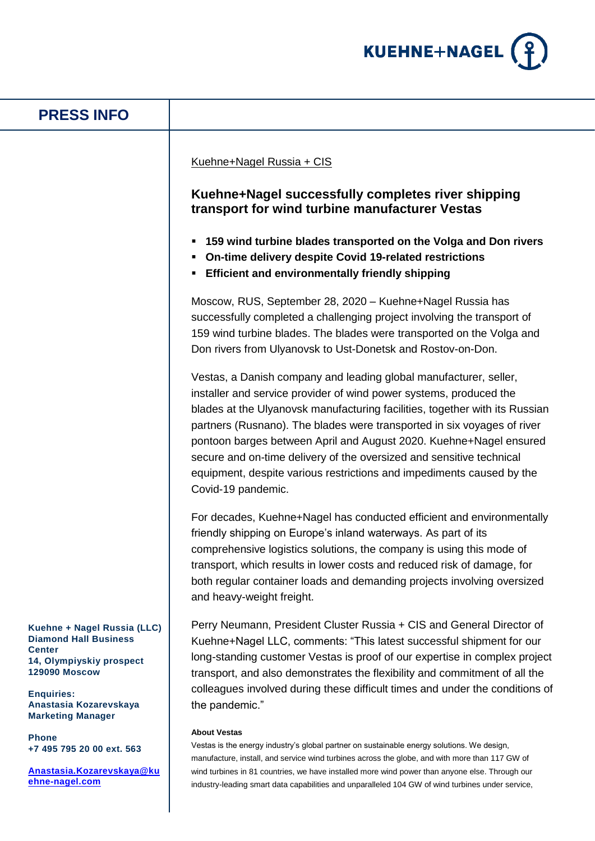

## **Kuehne + Nagel Russia (LLC) Diamond Hall Business Center 14, Olympiyskiy prospect 129090 Moscow Enquiries: Anastasia Kozarevskaya Marketing Manager Phone +7 495 795 20 00 ext. 563 PRESS INFO** Kuehne+Nagel Russia + CIS **Kuehne+Nagel successfully completes river shipping transport for wind turbine manufacturer Vestas 159 wind turbine blades transported on the Volga and Don rivers On-time delivery despite Covid 19-related restrictions Efficient and environmentally friendly shipping** Moscow, RUS, September 28, 2020 – Kuehne+Nagel Russia has successfully completed a challenging project involving the transport of 159 wind turbine blades. The blades were transported on the Volga and Don rivers from Ulyanovsk to Ust-Donetsk and Rostov-on-Don. Vestas, a Danish company and leading global manufacturer, seller, installer and service provider of wind power systems, produced the blades at the Ulyanovsk manufacturing facilities, together with its Russian partners (Rusnano). The blades were transported in six voyages of river pontoon barges between April and August 2020. Kuehne+Nagel ensured secure and on-time delivery of the oversized and sensitive technical equipment, despite various restrictions and impediments caused by the Covid-19 pandemic. For decades, Kuehne+Nagel has conducted efficient and environmentally friendly shipping on Europe's inland waterways. As part of its comprehensive logistics solutions, the company is using this mode of transport, which results in lower costs and reduced risk of damage, for both regular container loads and demanding projects involving oversized and heavy-weight freight. Perry Neumann, President Cluster Russia + CIS and General Director of Kuehne+Nagel LLC, comments: "This latest successful shipment for our long-standing customer Vestas is proof of our expertise in complex project transport, and also demonstrates the flexibility and commitment of all the colleagues involved during these difficult times and under the conditions of the pandemic." **About Vestas** Vestas is the energy industry's global partner on sustainable energy solutions. We design,

**[Anastasia.Kozarevskaya@ku](mailto:Anastasia.Kozarevskaya@kuehne-nagel.com) [ehne-nagel.com](mailto:Anastasia.Kozarevskaya@kuehne-nagel.com)**

manufacture, install, and service wind turbines across the globe, and with more than 117 GW of wind turbines in 81 countries, we have installed more wind power than anyone else. Through our industry-leading smart data capabilities and unparalleled 104 GW of wind turbines under service,